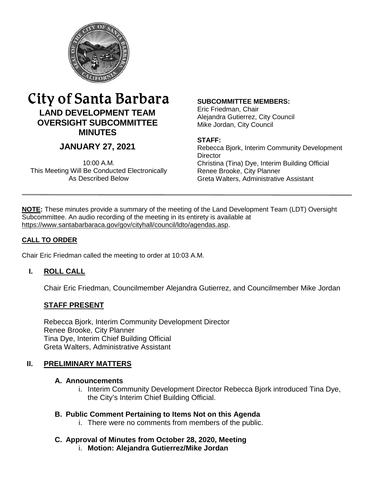

# City of Santa Barbara **LAND DEVELOPMENT TEAM OVERSIGHT SUBCOMMITTEE MINUTES**

## **JANUARY 27, 2021**

10:00 A.M. This Meeting Will Be Conducted Electronically As Described Below

#### **SUBCOMMITTEE MEMBERS:**

Eric Friedman, Chair Alejandra Gutierrez, City Council Mike Jordan, City Council

#### **STAFF:**

Rebecca Bjork, Interim Community Development **Director** Christina (Tina) Dye, Interim Building Official Renee Brooke, City Planner Greta Walters, Administrative Assistant

**NOTE:** These minutes provide a summary of the meeting of the Land Development Team (LDT) Oversight Subcommittee. An audio recording of the meeting in its entirety is available at [https://www.santabarbaraca.gov/gov/cityhall/council/ldto/agendas.asp.](https://www.santabarbaraca.gov/gov/cityhall/council/ldto/agendas.asp)

### **CALL TO ORDER**

Chair Eric Friedman called the meeting to order at 10:03 A.M.

### **I. ROLL CALL**

Chair Eric Friedman, Councilmember Alejandra Gutierrez, and Councilmember Mike Jordan

### **STAFF PRESENT**

Rebecca Bjork, Interim Community Development Director Renee Brooke, City Planner Tina Dye, Interim Chief Building Official Greta Walters, Administrative Assistant

### **II. PRELIMINARY MATTERS**

### **A. Announcements**

i. Interim Community Development Director Rebecca Bjork introduced Tina Dye, the City's Interim Chief Building Official.

### **B. Public Comment Pertaining to Items Not on this Agenda**

i. There were no comments from members of the public.

### **C. Approval of Minutes from October 28, 2020, Meeting**

i. **Motion: Alejandra Gutierrez/Mike Jordan**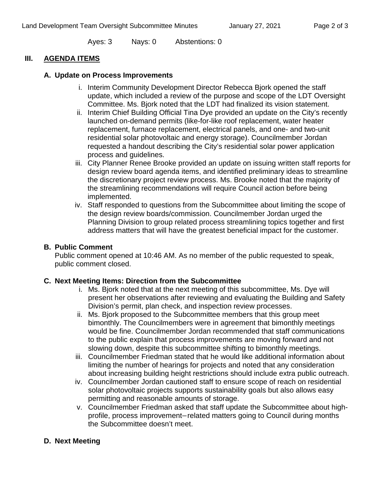Ayes: 3 Nays: 0 Abstentions: 0

### **III. AGENDA ITEMS**

### **A. Update on Process Improvements**

- i. Interim Community Development Director Rebecca Bjork opened the staff update, which included a review of the purpose and scope of the LDT Oversight Committee. Ms. Bjork noted that the LDT had finalized its vision statement.
- ii. Interim Chief Building Official Tina Dye provided an update on the City's recently launched on-demand permits (like-for-like roof replacement, water heater replacement, furnace replacement, electrical panels, and one- and two-unit residential solar photovoltaic and energy storage). Councilmember Jordan requested a handout describing the City's residential solar power application process and guidelines.
- iii. City Planner Renee Brooke provided an update on issuing written staff reports for design review board agenda items, and identified preliminary ideas to streamline the discretionary project review process. Ms. Brooke noted that the majority of the streamlining recommendations will require Council action before being implemented.
- iv. Staff responded to questions from the Subcommittee about limiting the scope of the design review boards/commission. Councilmember Jordan urged the Planning Division to group related process streamlining topics together and first address matters that will have the greatest beneficial impact for the customer.

### **B. Public Comment**

Public comment opened at 10:46 AM. As no member of the public requested to speak, public comment closed.

### **C. Next Meeting Items: Direction from the Subcommittee**

- i. Ms. Bjork noted that at the next meeting of this subcommittee, Ms. Dye will present her observations after reviewing and evaluating the Building and Safety Division's permit, plan check, and inspection review processes.
- ii. Ms. Bjork proposed to the Subcommittee members that this group meet bimonthly. The Councilmembers were in agreement that bimonthly meetings would be fine. Councilmember Jordan recommended that staff communications to the public explain that process improvements are moving forward and not slowing down, despite this subcommittee shifting to bimonthly meetings.
- iii. Councilmember Friedman stated that he would like additional information about limiting the number of hearings for projects and noted that any consideration about increasing building height restrictions should include extra public outreach.
- iv. Councilmember Jordan cautioned staff to ensure scope of reach on residential solar photovoltaic projects supports sustainability goals but also allows easy permitting and reasonable amounts of storage.
- v. Councilmember Friedman asked that staff update the Subcommittee about highprofile, process improvement−related matters going to Council during months the Subcommittee doesn't meet.

### **D. Next Meeting**